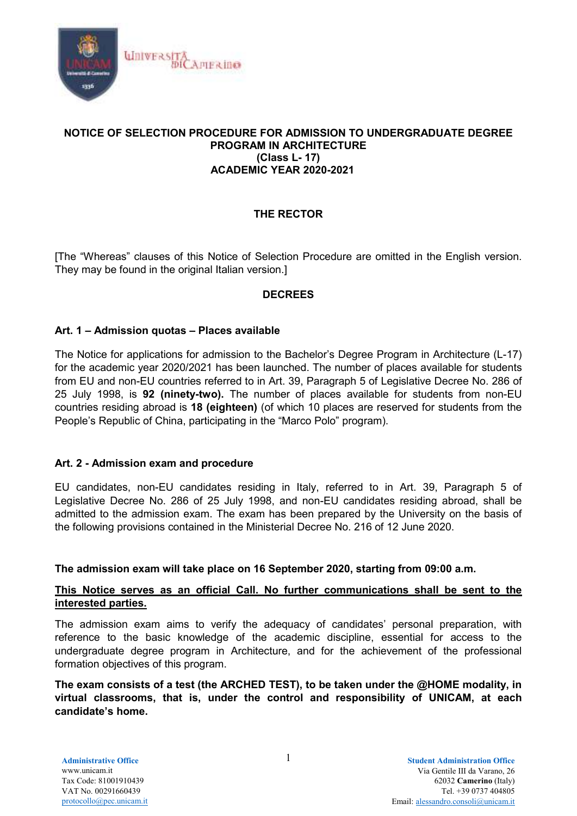

## **NOTICE OF SELECTION PROCEDURE FOR ADMISSION TO UNDERGRADUATE DEGREE PROGRAM IN ARCHITECTURE (Class L- 17) ACADEMIC YEAR 2020-2021**

## **THE RECTOR**

[The "Whereas" clauses of this Notice of Selection Procedure are omitted in the English version. They may be found in the original Italian version.]

## **DECREES**

#### **Art. 1 – Admission quotas – Places available**

The Notice for applications for admission to the Bachelor's Degree Program in Architecture (L-17) for the academic year 2020/2021 has been launched. The number of places available for students from EU and non-EU countries referred to in Art. 39, Paragraph 5 of Legislative Decree No. 286 of 25 July 1998, is **92 (ninety-two).** The number of places available for students from non-EU countries residing abroad is **18 (eighteen)** (of which 10 places are reserved for students from the People's Republic of China, participating in the "Marco Polo" program).

#### **Art. 2 - Admission exam and procedure**

EU candidates, non-EU candidates residing in Italy, referred to in Art. 39, Paragraph 5 of Legislative Decree No. 286 of 25 July 1998, and non-EU candidates residing abroad, shall be admitted to the admission exam. The exam has been prepared by the University on the basis of the following provisions contained in the Ministerial Decree No. 216 of 12 June 2020.

#### **The admission exam will take place on 16 September 2020, starting from 09:00 a.m.**

## **This Notice serves as an official Call. No further communications shall be sent to the interested parties.**

The admission exam aims to verify the adequacy of candidates' personal preparation, with reference to the basic knowledge of the academic discipline, essential for access to the undergraduate degree program in Architecture, and for the achievement of the professional formation objectives of this program.

**The exam consists of a test (the ARCHED TEST), to be taken under the @HOME modality, in virtual classrooms, that is, under the control and responsibility of UNICAM, at each candidate's home.**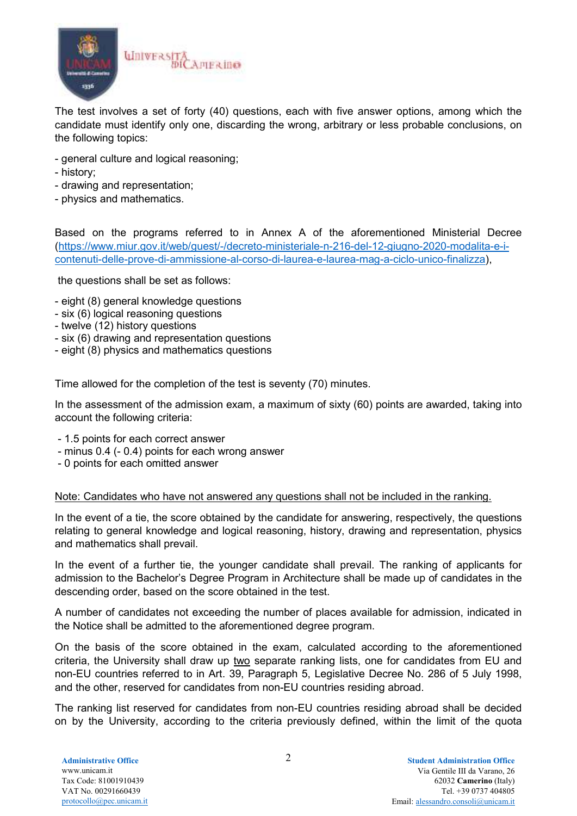

The test involves a set of forty (40) questions, each with five answer options, among which the candidate must identify only one, discarding the wrong, arbitrary or less probable conclusions, on the following topics:

- general culture and logical reasoning;
- history;
- drawing and representation;
- physics and mathematics.

Based on the programs referred to in Annex A of the aforementioned Ministerial Decree (https://www.miur.gov.it/web/guest/-/decreto-ministeriale-n-216-del-12-giugno-2020-modalita-e-icontenuti-delle-prove-di-ammissione-al-corso-di-laurea-e-laurea-mag-a-ciclo-unico-finalizza),

the questions shall be set as follows:

- eight (8) general knowledge questions
- six (6) logical reasoning questions
- twelve (12) history questions
- six (6) drawing and representation questions
- eight (8) physics and mathematics questions

Time allowed for the completion of the test is seventy (70) minutes.

In the assessment of the admission exam, a maximum of sixty (60) points are awarded, taking into account the following criteria:

- 1.5 points for each correct answer
- minus 0.4 (- 0.4) points for each wrong answer
- 0 points for each omitted answer

## Note: Candidates who have not answered any questions shall not be included in the ranking.

In the event of a tie, the score obtained by the candidate for answering, respectively, the questions relating to general knowledge and logical reasoning, history, drawing and representation, physics and mathematics shall prevail.

In the event of a further tie, the younger candidate shall prevail. The ranking of applicants for admission to the Bachelor's Degree Program in Architecture shall be made up of candidates in the descending order, based on the score obtained in the test.

A number of candidates not exceeding the number of places available for admission, indicated in the Notice shall be admitted to the aforementioned degree program.

On the basis of the score obtained in the exam, calculated according to the aforementioned criteria, the University shall draw up two separate ranking lists, one for candidates from EU and non-EU countries referred to in Art. 39, Paragraph 5, Legislative Decree No. 286 of 5 July 1998, and the other, reserved for candidates from non-EU countries residing abroad.

The ranking list reserved for candidates from non-EU countries residing abroad shall be decided on by the University, according to the criteria previously defined, within the limit of the quota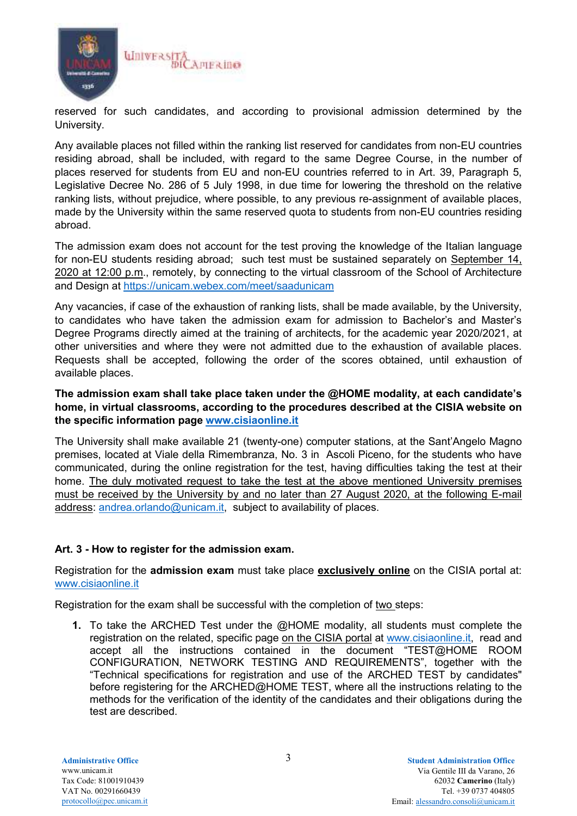

reserved for such candidates, and according to provisional admission determined by the University.

Any available places not filled within the ranking list reserved for candidates from non-EU countries residing abroad, shall be included, with regard to the same Degree Course, in the number of places reserved for students from EU and non-EU countries referred to in Art. 39, Paragraph 5, Legislative Decree No. 286 of 5 July 1998, in due time for lowering the threshold on the relative ranking lists, without prejudice, where possible, to any previous re-assignment of available places, made by the University within the same reserved quota to students from non-EU countries residing abroad.

The admission exam does not account for the test proving the knowledge of the Italian language for non-EU students residing abroad; such test must be sustained separately on September 14, 2020 at 12:00 p.m., remotely, by connecting to the virtual classroom of the School of Architecture and Design at https://unicam.webex.com/meet/saadunicam

Any vacancies, if case of the exhaustion of ranking lists, shall be made available, by the University, to candidates who have taken the admission exam for admission to Bachelor's and Master's Degree Programs directly aimed at the training of architects, for the academic year 2020/2021, at other universities and where they were not admitted due to the exhaustion of available places. Requests shall be accepted, following the order of the scores obtained, until exhaustion of available places.

## **The admission exam shall take place taken under the @HOME modality, at each candidate's home, in virtual classrooms, according to the procedures described at the CISIA website on the specific information page www.cisiaonline.it**

The University shall make available 21 (twenty-one) computer stations, at the Sant'Angelo Magno premises, located at Viale della Rimembranza, No. 3 in Ascoli Piceno, for the students who have communicated, during the online registration for the test, having difficulties taking the test at their home. The duly motivated request to take the test at the above mentioned University premises must be received by the University by and no later than 27 August 2020, at the following E-mail address: andrea.orlando@unicam.it, subject to availability of places.

## **Art. 3 - How to register for the admission exam.**

Registration for the **admission exam** must take place **exclusively online** on the CISIA portal at: www.cisiaonline.it

Registration for the exam shall be successful with the completion of two steps:

**1.** To take the ARCHED Test under the @HOME modality, all students must complete the registration on the related, specific page on the CISIA portal at www.cisiaonline.it, read and accept all the instructions contained in the document "TEST@HOME ROOM CONFIGURATION, NETWORK TESTING AND REQUIREMENTS", together with the "Technical specifications for registration and use of the ARCHED TEST by candidates" before registering for the ARCHED@HOME TEST, where all the instructions relating to the methods for the verification of the identity of the candidates and their obligations during the test are described.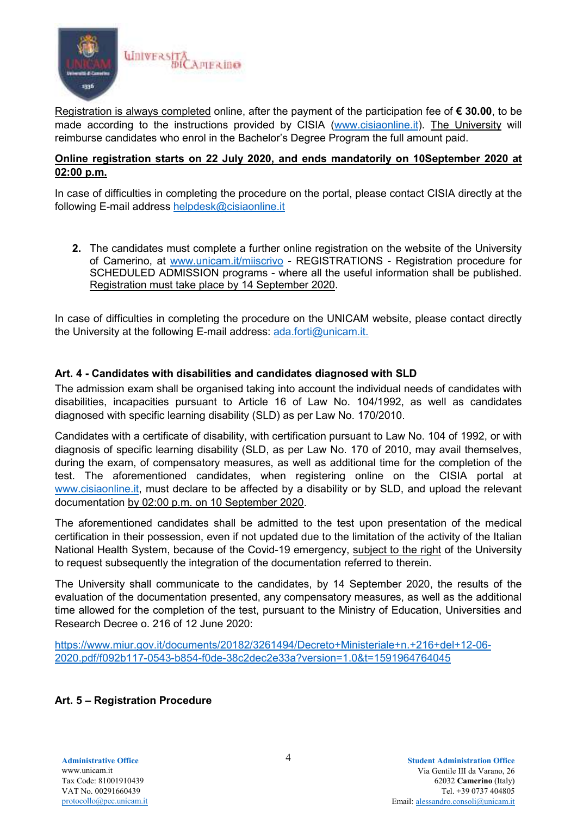

Registration is always completed online, after the payment of the participation fee of **€ 30.00**, to be made according to the instructions provided by CISIA (www.cisiaonline.it). The University will reimburse candidates who enrol in the Bachelor's Degree Program the full amount paid.

## **Online registration starts on 22 July 2020, and ends mandatorily on 10September 2020 at 02:00 p.m.**

In case of difficulties in completing the procedure on the portal, please contact CISIA directly at the following E-mail address helpdesk@cisiaonline.it

**2.** The candidates must complete a further online registration on the website of the University of Camerino, at www.unicam.it/miiscrivo - REGISTRATIONS - Registration procedure for SCHEDULED ADMISSION programs - where all the useful information shall be published. Registration must take place by 14 September 2020.

In case of difficulties in completing the procedure on the UNICAM website, please contact directly the University at the following E-mail address: ada.forti@unicam.it.

## **Art. 4 - Candidates with disabilities and candidates diagnosed with SLD**

The admission exam shall be organised taking into account the individual needs of candidates with disabilities, incapacities pursuant to Article 16 of Law No. 104/1992, as well as candidates diagnosed with specific learning disability (SLD) as per Law No. 170/2010.

Candidates with a certificate of disability, with certification pursuant to Law No. 104 of 1992, or with diagnosis of specific learning disability (SLD, as per Law No. 170 of 2010, may avail themselves, during the exam, of compensatory measures, as well as additional time for the completion of the test. The aforementioned candidates, when registering online on the CISIA portal at www.cisiaonline.it, must declare to be affected by a disability or by SLD, and upload the relevant documentation by 02:00 p.m. on 10 September 2020.

The aforementioned candidates shall be admitted to the test upon presentation of the medical certification in their possession, even if not updated due to the limitation of the activity of the Italian National Health System, because of the Covid-19 emergency, subject to the right of the University to request subsequently the integration of the documentation referred to therein.

The University shall communicate to the candidates, by 14 September 2020, the results of the evaluation of the documentation presented, any compensatory measures, as well as the additional time allowed for the completion of the test, pursuant to the Ministry of Education, Universities and Research Decree o. 216 of 12 June 2020:

https://www.miur.gov.it/documents/20182/3261494/Decreto+Ministeriale+n.+216+del+12-06- 2020.pdf/f092b117-0543-b854-f0de-38c2dec2e33a?version=1.0&t=1591964764045

# **Art. 5 – Registration Procedure**

**Administrative Office** 4 www.unicam.it Tax Code: 81001910439 VAT No. 00291660439 protocollo@pec.unicam.it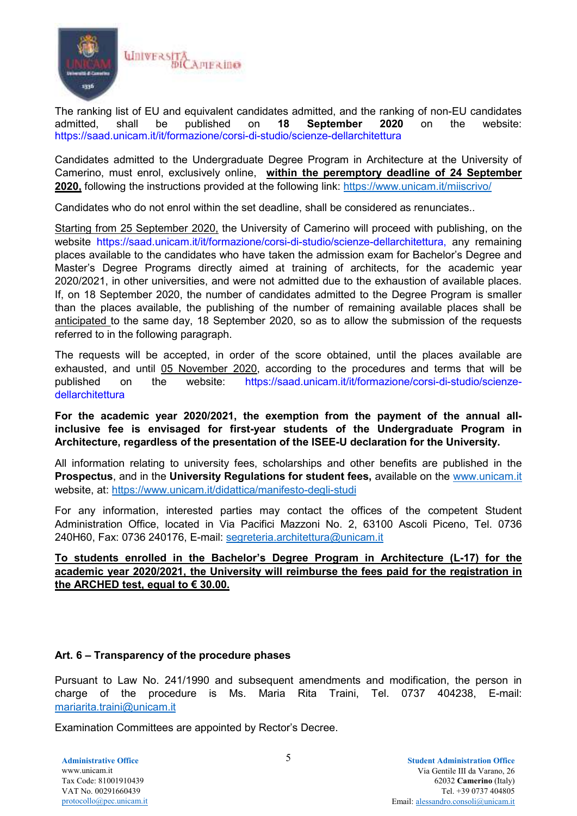

The ranking list of EU and equivalent candidates admitted, and the ranking of non-EU candidates admitted, shall be published on **18 September 2020** on the website: https://saad.unicam.it/it/formazione/corsi-di-studio/scienze-dellarchitettura

Candidates admitted to the Undergraduate Degree Program in Architecture at the University of Camerino, must enrol, exclusively online, **within the peremptory deadline of 24 September 2020,** following the instructions provided at the following link: https://www.unicam.it/miiscrivo/

Candidates who do not enrol within the set deadline, shall be considered as renunciates..

Starting from 25 September 2020, the University of Camerino will proceed with publishing, on the website https://saad.unicam.it/it/formazione/corsi-di-studio/scienze-dellarchitettura, any remaining places available to the candidates who have taken the admission exam for Bachelor's Degree and Master's Degree Programs directly aimed at training of architects, for the academic year 2020/2021, in other universities, and were not admitted due to the exhaustion of available places. If, on 18 September 2020, the number of candidates admitted to the Degree Program is smaller than the places available, the publishing of the number of remaining available places shall be anticipated to the same day, 18 September 2020, so as to allow the submission of the requests referred to in the following paragraph.

The requests will be accepted, in order of the score obtained, until the places available are exhausted, and until 05 November 2020, according to the procedures and terms that will be published on the website: https://saad.unicam.it/it/formazione/corsi-di-studio/scienzedellarchitettura

**For the academic year 2020/2021, the exemption from the payment of the annual allinclusive fee is envisaged for first-year students of the Undergraduate Program in Architecture, regardless of the presentation of the ISEE-U declaration for the University.** 

All information relating to university fees, scholarships and other benefits are published in the **Prospectus**, and in the **University Regulations for student fees,** available on the www.unicam.it website, at: https://www.unicam.it/didattica/manifesto-degli-studi

For any information, interested parties may contact the offices of the competent Student Administration Office, located in Via Pacifici Mazzoni No. 2, 63100 Ascoli Piceno, Tel. 0736 240H60, Fax: 0736 240176, E-mail: segreteria.architettura@unicam.it

# **To students enrolled in the Bachelor's Degree Program in Architecture (L-17) for the academic year 2020/2021, the University will reimburse the fees paid for the registration in the ARCHED test, equal to € 30.00.**

## **Art. 6 – Transparency of the procedure phases**

Pursuant to Law No. 241/1990 and subsequent amendments and modification, the person in charge of the procedure is Ms. Maria Rita Traini, Tel. 0737 404238, E-mail: mariarita.traini@unicam.it

Examination Committees are appointed by Rector's Decree.

**Administrative Office** 5 www.unicam.it Tax Code: 81001910439 VAT No. 00291660439 protocollo@pec.unicam.it